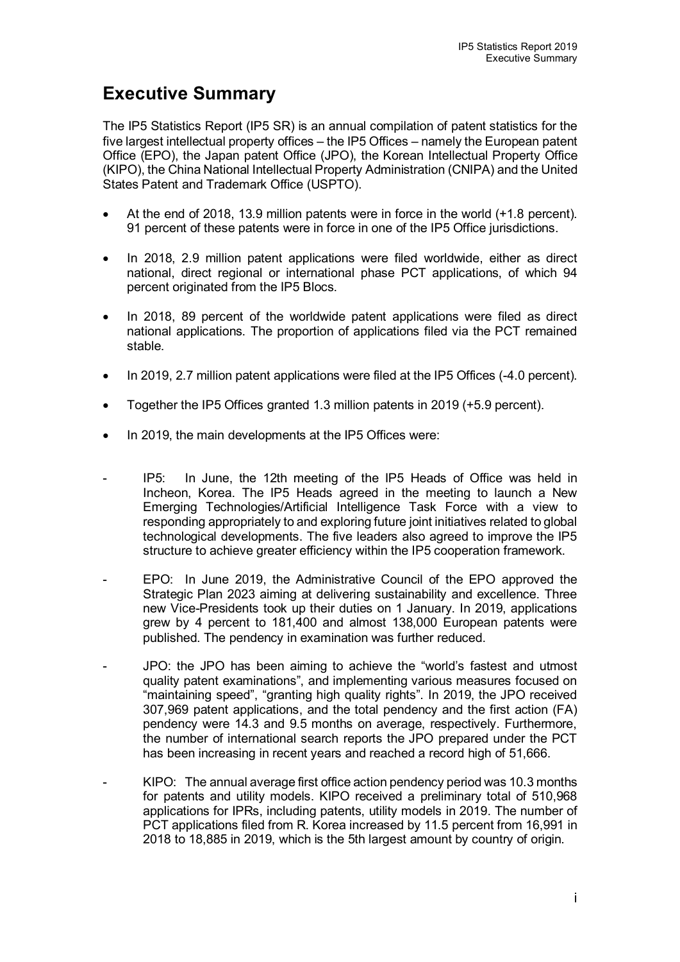## **Executive Summary**

The IP5 Statistics Report (IP5 SR) is an annual compilation of patent statistics for the five largest intellectual property offices – the IP5 Offices – namely the European patent Office (EPO), the Japan patent Office (JPO), the Korean Intellectual Property Office (KIPO), the China National Intellectual Property Administration (CNIPA) and the United States Patent and Trademark Office (USPTO).

- At the end of 2018, 13.9 million patents were in force in the world (+1.8 percent). 91 percent of these patents were in force in one of the IP5 Office jurisdictions.
- In 2018, 2.9 million patent applications were filed worldwide, either as direct national, direct regional or international phase PCT applications, of which 94 percent originated from the IP5 Blocs.
- In 2018, 89 percent of the worldwide patent applications were filed as direct national applications. The proportion of applications filed via the PCT remained stable.
- In 2019, 2.7 million patent applications were filed at the IP5 Offices (-4.0 percent).
- Together the IP5 Offices granted 1.3 million patents in 2019 (+5.9 percent).
- In 2019, the main developments at the IP5 Offices were:
- IP5: In June, the 12th meeting of the IP5 Heads of Office was held in Incheon, Korea. The IP5 Heads agreed in the meeting to launch a New Emerging Technologies/Artificial Intelligence Task Force with a view to responding appropriately to and exploring future joint initiatives related to global technological developments. The five leaders also agreed to improve the IP5 structure to achieve greater efficiency within the IP5 cooperation framework.
- EPO: In June 2019, the Administrative Council of the EPO approved the Strategic Plan 2023 aiming at delivering sustainability and excellence. Three new Vice-Presidents took up their duties on 1 January. In 2019, applications grew by 4 percent to 181,400 and almost 138,000 European patents were published. The pendency in examination was further reduced.
- JPO: the JPO has been aiming to achieve the "world's fastest and utmost quality patent examinations", and implementing various measures focused on "maintaining speed", "granting high quality rights". In 2019, the JPO received 307,969 patent applications, and the total pendency and the first action (FA) pendency were 14.3 and 9.5 months on average, respectively. Furthermore, the number of international search reports the JPO prepared under the PCT has been increasing in recent years and reached a record high of 51,666.
- KIPO: The annual average first office action pendency period was 10.3 months for patents and utility models. KIPO received a preliminary total of 510,968 applications for IPRs, including patents, utility models in 2019. The number of PCT applications filed from R. Korea increased by 11.5 percent from 16,991 in 2018 to 18,885 in 2019, which is the 5th largest amount by country of origin.